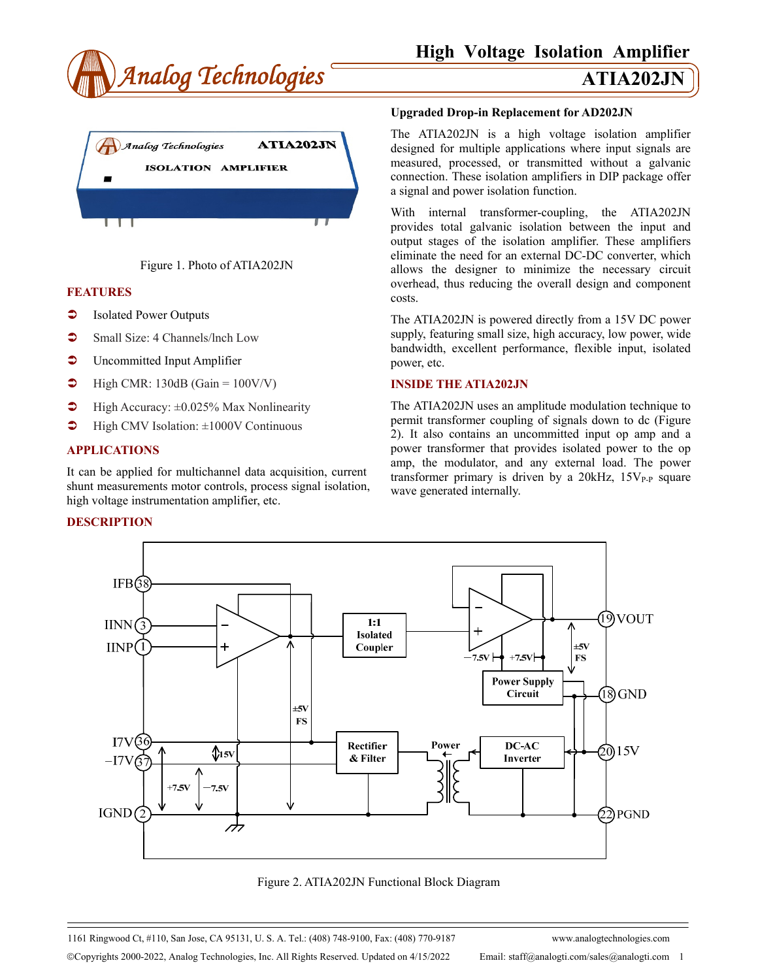





# **FEATURES**

- Isolated Power Outputs
- Small Size: 4 Channels/Inch Low
- **C** Uncommitted Input Amplifier
- $\blacktriangleright$  High CMR: 130dB (Gain = 100V/V)
- $\blacktriangleright$  High Accuracy:  $\pm 0.025\%$  Max Nonlinearity
- $\blacktriangleright$  High CMV Isolation:  $\pm 1000V$  Continuous

### **APPLICATIONS**

It can be applied for multichannel data acquisition, current shunt measurements motor controls, process signal isolation, high voltage instrumentation amplifier, etc.

### **DESCRIPTION**

### **Upgraded Drop-in Replacement for AD202JN**

The ATIA202JN is a high voltage isolation amplifier designed for multiple applications where input signals are measured, processed, or transmitted without a galvanic connection. These isolation amplifiers in DIP package offer a signal and power isolation function.

With internal transformer-coupling, the ATIA202JN provides total galvanic isolation between the input and output stages of the isolation amplifier. These amplifiers eliminate the need for an external DC-DC converter, which allows the designer to minimize the necessary circuit overhead, thus reducing the overall design and component costs.

The ATIA202JN is powered directly from a 15V DC power supply, featuring small size, high accuracy, low power, wide bandwidth, excellent performance, flexible input, isolated power, etc.

## **INSIDE THE ATIA202JN**

The ATIA202JN uses an amplitude modulation technique to permit transformer coupling of signals down to dc (Figure 2). It also contains an uncommitted input op amp and a power transformer that provides isolated power to the op amp, the modulator, and any external load. The power transformer primary is driven by a  $20kHz$ ,  $15V_{P-P}$  square wave generated internally.



Figure 2. ATIA202JN Functional Block Diagram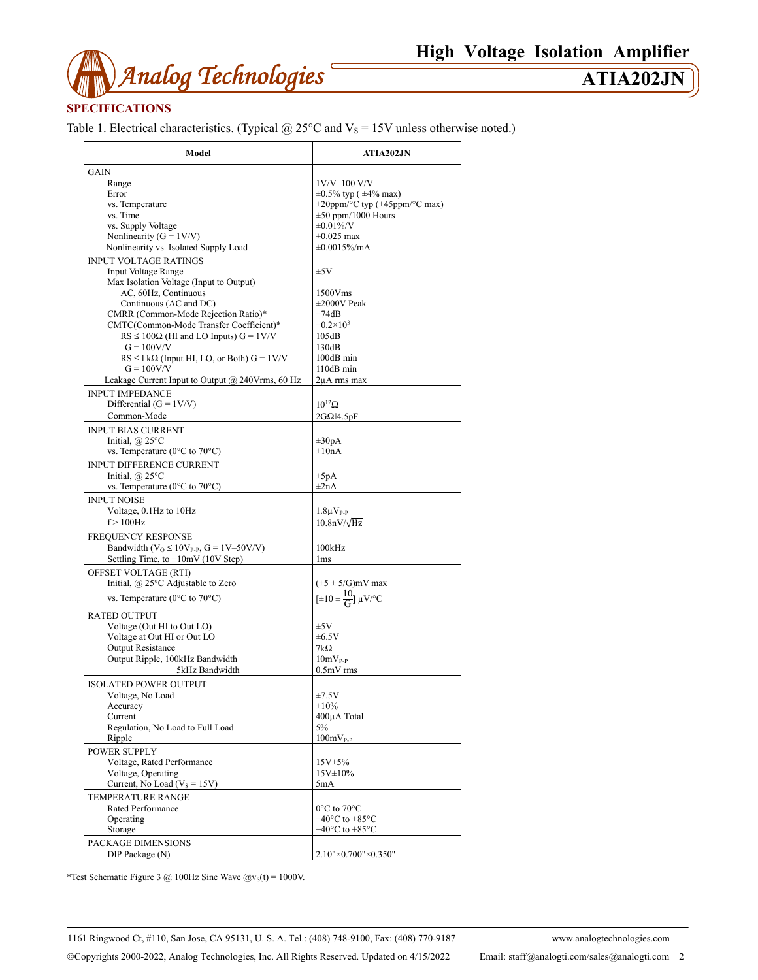

# **SPECIFICATIONS**

Table 1. Electrical characteristics. (Typical  $@$  25°C and  $V_s$  = 15V unless otherwise noted.)

| Model                                                                | <b>ATIA202JN</b>                                               |
|----------------------------------------------------------------------|----------------------------------------------------------------|
| GAIN                                                                 |                                                                |
| Range                                                                | 1V/V-100 V/V                                                   |
| Error                                                                | $\pm 0.5\%$ typ ( $\pm 4\%$ max)                               |
| vs. Temperature                                                      | $\pm 20$ ppm/°C typ ( $\pm 45$ ppm/°C max)                     |
| vs. Time                                                             | $\pm 50$ ppm/1000 Hours                                        |
| vs. Supply Voltage                                                   | $\pm 0.01\%$ /V                                                |
|                                                                      |                                                                |
| Nonlinearity ( $G = 1V/V$ )                                          | $\pm 0.025$ max                                                |
| Nonlinearity vs. Isolated Supply Load                                | $\pm 0.0015\%$ /mA                                             |
| <b>INPUT VOLTAGE RATINGS</b>                                         |                                                                |
| <b>Input Voltage Range</b>                                           | ±5V                                                            |
| Max Isolation Voltage (Input to Output)                              |                                                                |
| AC, 60Hz, Continuous                                                 | 1500Vms                                                        |
| Continuous (AC and DC)                                               | $\pm 2000V$ Peak                                               |
| CMRR (Common-Mode Rejection Ratio)*                                  | $-74dB$                                                        |
|                                                                      |                                                                |
| CMTC(Common-Mode Transfer Coefficient)*                              | $-0.2\times10^{3}$                                             |
| $RS \le 100\Omega$ (HI and LO Inputs) $G = 1 \text{V/V}$             | 105dB                                                          |
| $G = 100V/V$                                                         | 130dB                                                          |
| $RS \leq 1 k\Omega$ (Input HI, LO, or Both) $G = 1 V/V$              | 100dB min                                                      |
| $G = 100V/V$                                                         | 110dB min                                                      |
| Leakage Current Input to Output $@$ 240Vrms, 60 Hz                   | $2\mu A$ rms max                                               |
|                                                                      |                                                                |
| <b>INPUT IMPEDANCE</b>                                               |                                                                |
| Differential $(G = 1V/V)$                                            | $10^{12} \Omega$                                               |
| Common-Mode                                                          | $2G\Omega$ <sub>14.5pF</sub>                                   |
| <b>INPUT BIAS CURRENT</b>                                            |                                                                |
| Initial, $\omega$ 25°C                                               | $\pm 30pA$                                                     |
| vs. Temperature ( $0^{\circ}$ C to $70^{\circ}$ C)                   | $\pm 10nA$                                                     |
|                                                                      |                                                                |
| <b>INPUT DIFFERENCE CURRENT</b>                                      |                                                                |
| Initial, $\omega$ 25°C                                               | $\pm 5pA$                                                      |
| vs. Temperature ( $0^{\circ}$ C to $70^{\circ}$ C)                   | $\pm 2nA$                                                      |
| <b>INPUT NOISE</b>                                                   |                                                                |
| Voltage, 0.1Hz to 10Hz                                               | $1.8\mu V_{P-P}$                                               |
| $f > 100$ Hz                                                         | $10.8nV/\sqrt{Hz}$                                             |
|                                                                      |                                                                |
| FREQUENCY RESPONSE                                                   |                                                                |
| Bandwidth ( $V$ <sub>O</sub> ≤ 10 $V$ <sub>P-P</sub> , G = 1V–50V/V) | 100kHz                                                         |
| Settling Time, to $\pm 10$ mV (10V Step)                             | 1 <sub>ms</sub>                                                |
| OFFSET VOLTAGE (RTI)                                                 |                                                                |
|                                                                      |                                                                |
| Initial, @ 25°C Adjustable to Zero                                   | $(\pm 5 \pm 5/\text{G})$ mV max                                |
| vs. Temperature ( $0^{\circ}$ C to $70^{\circ}$ C)                   | $[\pm 10 \pm \frac{10}{\text{G}}] \mu\text{V}^{\circ}\text{C}$ |
|                                                                      |                                                                |
| <b>RATED OUTPUT</b>                                                  |                                                                |
| Voltage (Out HI to Out LO)                                           | $\pm 5V$                                                       |
| Voltage at Out HI or Out LO                                          | $\pm 6.5V$                                                     |
| <b>Output Resistance</b>                                             | $7k\Omega$                                                     |
| Output Ripple, 100kHz Bandwidth                                      | $10mV_{P,P}$                                                   |
| 5kHz Bandwidth                                                       | $0.5mV$ rms                                                    |
|                                                                      |                                                                |
| <b>ISOLATED POWER OUTPUT</b>                                         |                                                                |
| Voltage, No Load                                                     | $\pm 7.5 \mathrm{V}$                                           |
| Accuracy                                                             | ±10%                                                           |
| Current                                                              | 400µA Total                                                    |
| Regulation, No Load to Full Load                                     | 5%                                                             |
| Ripple                                                               | $100mV_{P-P}$                                                  |
|                                                                      |                                                                |
| <b>POWER SUPPLY</b>                                                  |                                                                |
| Voltage, Rated Performance                                           | 15V±5%                                                         |
| Voltage, Operating                                                   | $15V \pm 10\%$                                                 |
| Current, No Load ( $V_s = 15V$ )                                     | 5mA                                                            |
| <b>TEMPERATURE RANGE</b>                                             |                                                                |
| Rated Performance                                                    | $0^{\circ}$ C to $70^{\circ}$ C                                |
|                                                                      |                                                                |
| Operating                                                            | $-40^{\circ}$ C to $+85^{\circ}$ C                             |
| Storage                                                              | $-40^{\circ}$ C to $+85^{\circ}$ C                             |
| PACKAGE DIMENSIONS                                                   |                                                                |
| DIP Package (N)                                                      | 2.10"×0.700"×0.350"                                            |
|                                                                      |                                                                |

\*Test Schematic Figure 3 @ 100Hz Sine Wave  $\omega_{\text{vs}}(t) = 1000 \text{V}$ .

1161 Ringwood Ct, #110, San Jose, CA 95131, U. S. A. Tel.: (408) 748-9100, Fax: (408) 770-9187 www.analogtechnologies.com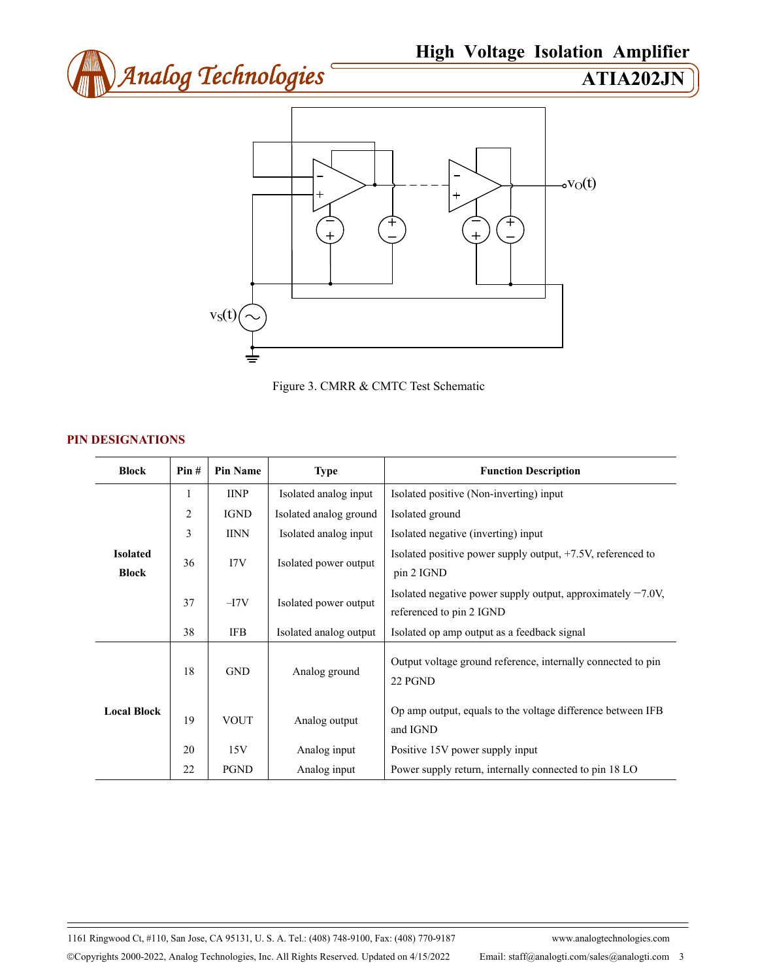





# **PIN DESIGNATIONS**

| <b>Block</b>                    | Pin#           | <b>Pin Name</b> | <b>Type</b>            | <b>Function Description</b>                                                                |
|---------------------------------|----------------|-----------------|------------------------|--------------------------------------------------------------------------------------------|
| <b>Isolated</b><br><b>Block</b> | 1              | <b>IINP</b>     | Isolated analog input  | Isolated positive (Non-inverting) input                                                    |
|                                 | $\overline{2}$ | <b>IGND</b>     | Isolated analog ground | Isolated ground                                                                            |
|                                 | 3              | <b>IINN</b>     | Isolated analog input  | Isolated negative (inverting) input                                                        |
|                                 | 36             | 17V             | Isolated power output  | Isolated positive power supply output, +7.5V, referenced to<br>pin 2 IGND                  |
|                                 | 37             | $-I7V$          | Isolated power output  | Isolated negative power supply output, approximately $-7.0V$ ,<br>referenced to pin 2 IGND |
|                                 | 38             | <b>IFB</b>      | Isolated analog output | Isolated op amp output as a feedback signal                                                |
| <b>Local Block</b>              | 18             | <b>GND</b>      | Analog ground          | Output voltage ground reference, internally connected to pin<br>22 PGND                    |
|                                 | 19             | <b>VOUT</b>     | Analog output          | Op amp output, equals to the voltage difference between IFB<br>and IGND                    |
|                                 | 20             | 15V             | Analog input           | Positive 15V power supply input                                                            |
|                                 | 22             | <b>PGND</b>     | Analog input           | Power supply return, internally connected to pin 18 LO                                     |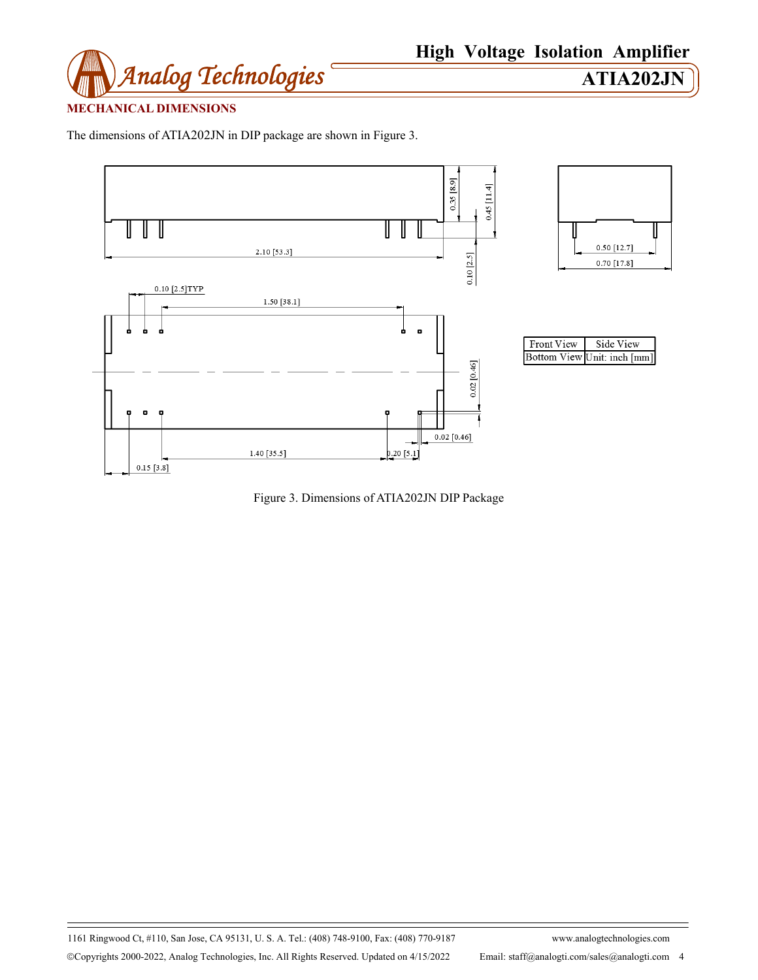

# **MECHANICAL DIMENSIONS**

The dimensions of ATIA202JN in DIP package are shown in Figure 3.



Figure 3. Dimensions of ATIA202JN DIP Package